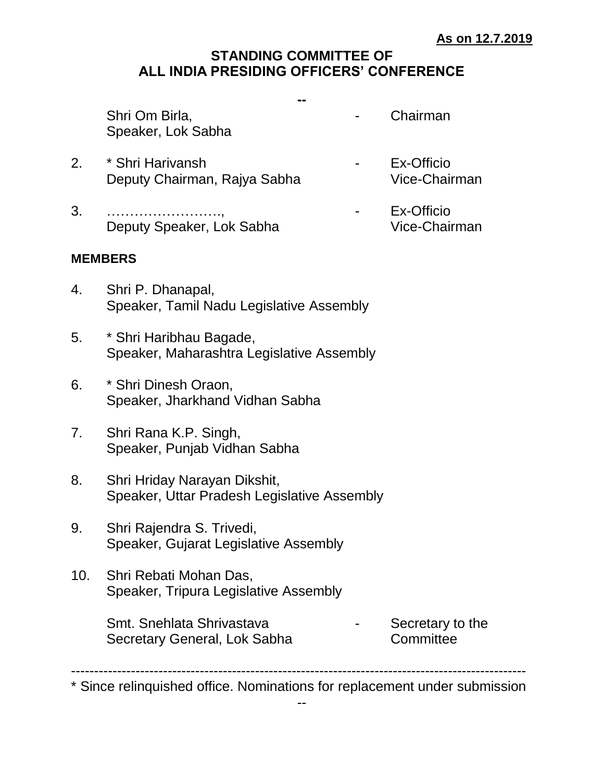# **STANDING COMMITTEE OF ALL INDIA PRESIDING OFFICERS' CONFERENCE**

**--**

Shri Om Birla, etc. Chairman Speaker, Lok Sabha

- 
- 2. \* Shri Harivansh Ex-Officio Deputy Chairman, Rajya Sabha Vice-Chairman
- 
- 
- 3. ………………………, Ex-Officio Deputy Speaker, Lok Sabha Vice-Chairman

#### **MEMBERS**

- 4. Shri P. Dhanapal, Speaker, Tamil Nadu Legislative Assembly
- 5. \* Shri Haribhau Bagade, Speaker, Maharashtra Legislative Assembly
- 6. \* Shri Dinesh Oraon, Speaker, Jharkhand Vidhan Sabha
- 7. Shri Rana K.P. Singh, Speaker, Punjab Vidhan Sabha
- 8. Shri Hriday Narayan Dikshit, Speaker, Uttar Pradesh Legislative Assembly
- 9. Shri Rajendra S. Trivedi, Speaker, Gujarat Legislative Assembly
- 10. Shri Rebati Mohan Das, Speaker, Tripura Legislative Assembly

Smt. Snehlata Shrivastava **Fack Concrete Secretary to the** Secretary General, Lok Sabha Committee

---------------------------------------------------------------------------------------------------

<sup>\*</sup> Since relinquished office. Nominations for replacement under submission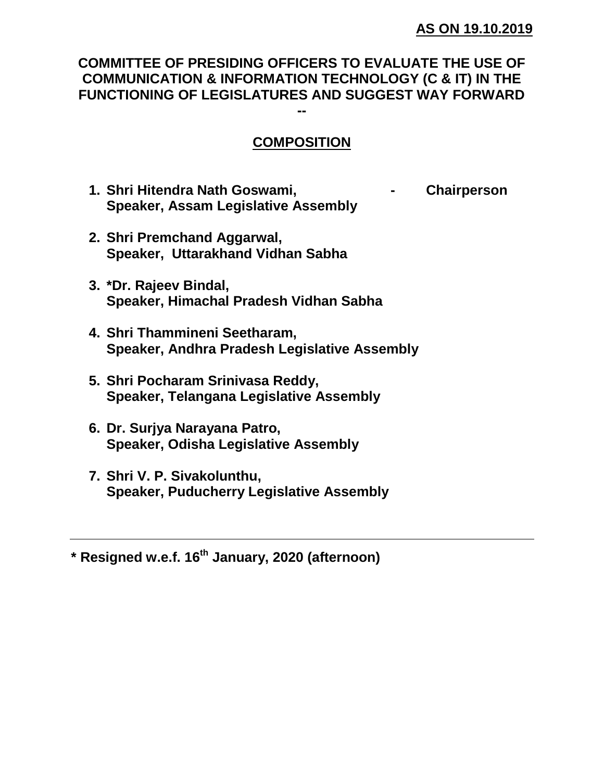### **COMMITTEE OF PRESIDING OFFICERS TO EVALUATE THE USE OF COMMUNICATION & INFORMATION TECHNOLOGY (C & IT) IN THE FUNCTIONING OF LEGISLATURES AND SUGGEST WAY FORWARD --**

# **COMPOSITION**

- **1. Shri Hitendra Nath Goswami, - Chairperson Speaker, Assam Legislative Assembly**
- **2. Shri Premchand Aggarwal, Speaker, Uttarakhand Vidhan Sabha**
- **3. \*Dr. Rajeev Bindal, Speaker, Himachal Pradesh Vidhan Sabha**
- **4. Shri Thammineni Seetharam, Speaker, Andhra Pradesh Legislative Assembly**
- **5. Shri Pocharam Srinivasa Reddy, Speaker, Telangana Legislative Assembly**
- **6. Dr. Surjya Narayana Patro, Speaker, Odisha Legislative Assembly**
- **7. Shri V. P. Sivakolunthu, Speaker, Puducherry Legislative Assembly**

**\* Resigned w.e.f. 16th January, 2020 (afternoon)**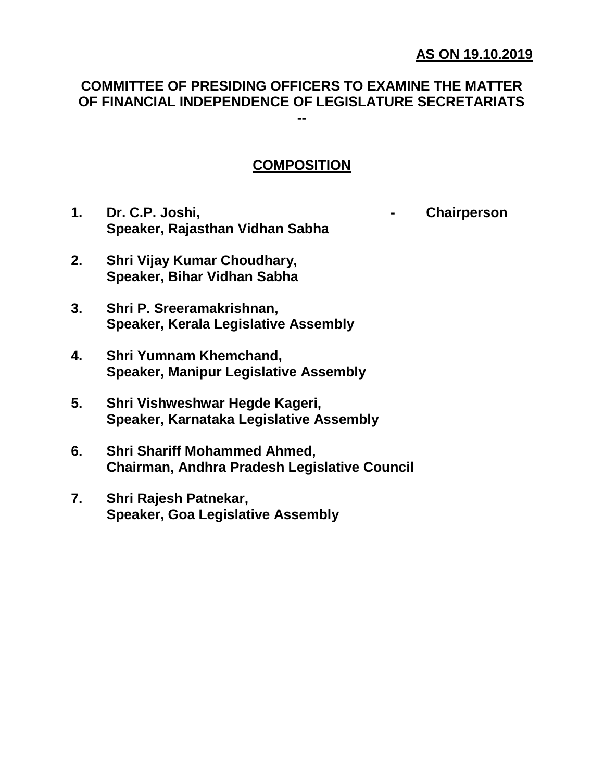### **AS ON 19.10.2019**

#### **COMMITTEE OF PRESIDING OFFICERS TO EXAMINE THE MATTER OF FINANCIAL INDEPENDENCE OF LEGISLATURE SECRETARIATS --**

### **COMPOSITION**

**1. Dr. C.P. Joshi, - Chairperson Speaker, Rajasthan Vidhan Sabha**

- **2. Shri Vijay Kumar Choudhary, Speaker, Bihar Vidhan Sabha**
- **3. Shri P. Sreeramakrishnan, Speaker, Kerala Legislative Assembly**
- **4. Shri Yumnam Khemchand, Speaker, Manipur Legislative Assembly**
- **5. Shri Vishweshwar Hegde Kageri, Speaker, Karnataka Legislative Assembly**
- **6. Shri Shariff Mohammed Ahmed, Chairman, Andhra Pradesh Legislative Council**
- **7. Shri Rajesh Patnekar, Speaker, Goa Legislative Assembly**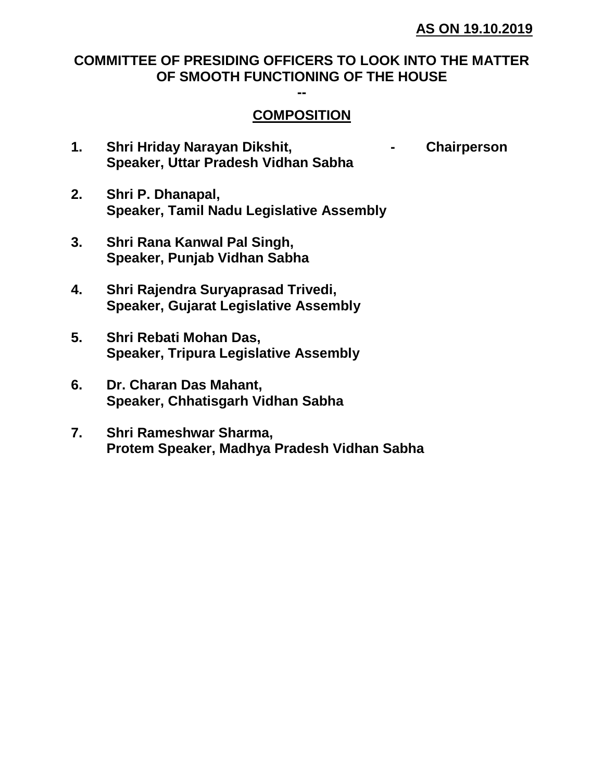# **COMMITTEE OF PRESIDING OFFICERS TO LOOK INTO THE MATTER OF SMOOTH FUNCTIONING OF THE HOUSE**

**--**

### **COMPOSITION**

- **1. Shri Hriday Narayan Dikshit, - Chairperson Speaker, Uttar Pradesh Vidhan Sabha**
- **2. Shri P. Dhanapal, Speaker, Tamil Nadu Legislative Assembly**
- **3. Shri Rana Kanwal Pal Singh, Speaker, Punjab Vidhan Sabha**
- **4. Shri Rajendra Suryaprasad Trivedi, Speaker, Gujarat Legislative Assembly**
- **5. Shri Rebati Mohan Das, Speaker, Tripura Legislative Assembly**
- **6. Dr. Charan Das Mahant, Speaker, Chhatisgarh Vidhan Sabha**
- **7. Shri Rameshwar Sharma, Protem Speaker, Madhya Pradesh Vidhan Sabha**